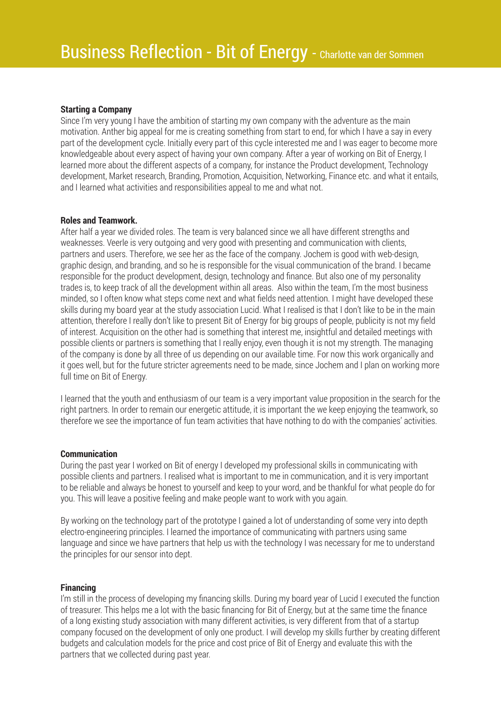## **Starting a Company**

Since I'm very young I have the ambition of starting my own company with the adventure as the main motivation. Anther big appeal for me is creating something from start to end, for which I have a say in every part of the development cycle. Initially every part of this cycle interested me and I was eager to become more knowledgeable about every aspect of having your own company. After a year of working on Bit of Energy, I learned more about the different aspects of a company, for instance the Product development, Technology development, Market research, Branding, Promotion, Acquisition, Networking, Finance etc. and what it entails, and I learned what activities and responsibilities appeal to me and what not.

#### **Roles and Teamwork.**

After half a year we divided roles. The team is very balanced since we all have different strengths and weaknesses. Veerle is very outgoing and very good with presenting and communication with clients, partners and users. Therefore, we see her as the face of the company. Jochem is good with web-design, graphic design, and branding, and so he is responsible for the visual communication of the brand. I became responsible for the product development, design, technology and finance. But also one of my personality trades is, to keep track of all the development within all areas. Also within the team, I'm the most business minded, so I often know what steps come next and what fields need attention. I might have developed these skills during my board year at the study association Lucid. What I realised is that I don't like to be in the main attention, therefore I really don't like to present Bit of Energy for big groups of people, publicity is not my field of interest. Acquisition on the other had is something that interest me, insightful and detailed meetings with possible clients or partners is something that I really enjoy, even though it is not my strength. The managing of the company is done by all three of us depending on our available time. For now this work organically and it goes well, but for the future stricter agreements need to be made, since Jochem and I plan on working more full time on Bit of Energy.

I learned that the youth and enthusiasm of our team is a very important value proposition in the search for the right partners. In order to remain our energetic attitude, it is important the we keep enjoying the teamwork, so therefore we see the importance of fun team activities that have nothing to do with the companies' activities.

#### **Communication**

During the past year I worked on Bit of energy I developed my professional skills in communicating with possible clients and partners. I realised what is important to me in communication, and it is very important to be reliable and always be honest to yourself and keep to your word, and be thankful for what people do for you. This will leave a positive feeling and make people want to work with you again.

By working on the technology part of the prototype I gained a lot of understanding of some very into depth electro-engineering principles. I learned the importance of communicating with partners using same language and since we have partners that help us with the technology I was necessary for me to understand the principles for our sensor into dept.

#### **Financing**

I'm still in the process of developing my financing skills. During my board year of Lucid I executed the function of treasurer. This helps me a lot with the basic financing for Bit of Energy, but at the same time the finance of a long existing study association with many different activities, is very different from that of a startup company focused on the development of only one product. I will develop my skills further by creating different budgets and calculation models for the price and cost price of Bit of Energy and evaluate this with the partners that we collected during past year.